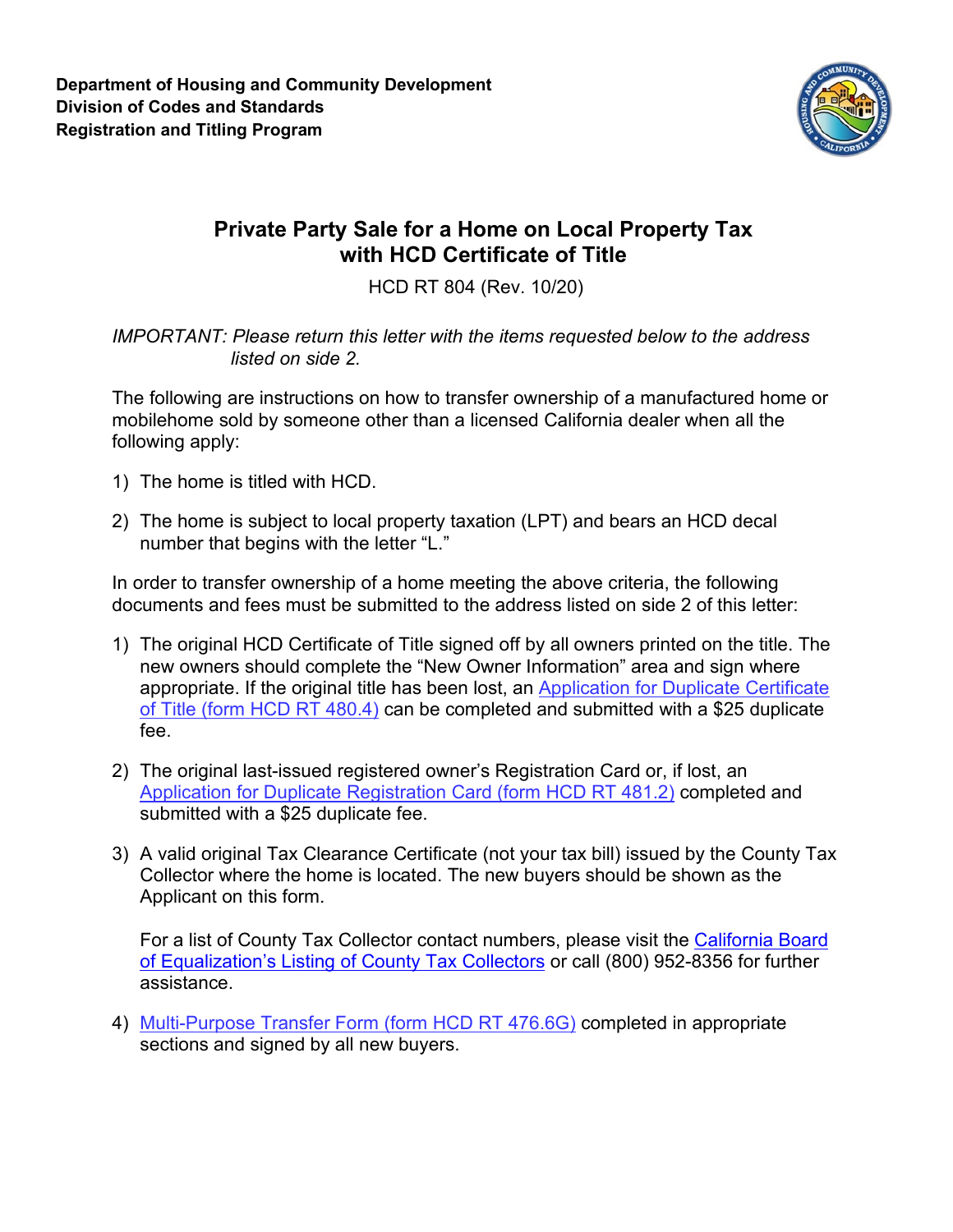

## **Private Party Sale for a Home on Local Property Tax with HCD Certificate of Title**

HCD RT 804 (Rev. 10/20)

*IMPORTANT: Please return this letter with the items requested below to the address listed on side 2.*

The following are instructions on how to transfer ownership of a manufactured home or mobilehome sold by someone other than a licensed California dealer when all the following apply:

- 1) The home is titled with HCD.
- 2) The home is subject to local property taxation (LPT) and bears an HCD decal number that begins with the letter "L."

In order to transfer ownership of a home meeting the above criteria, the following documents and fees must be submitted to the address listed on side 2 of this letter:

- 1) The original HCD Certificate of Title signed off by all owners printed on the title. The new owners should complete the "New Owner Information" area and sign where appropriate. If the original title has been lost, an [Application for Duplicate Certificate](http://www.hcd.ca.gov/manufactured-mobile-home/docs/HCDRT480-4.pdf)  [of Title \(form HCD RT 480.4\)](http://www.hcd.ca.gov/manufactured-mobile-home/docs/HCDRT480-4.pdf) can be completed and submitted with a \$25 duplicate fee.
- 2) The original last-issued registered owner's Registration Card or, if lost, an [Application for Duplicate Registration Card \(form HCD RT 481.2\)](http://www.hcd.ca.gov/manufactured-mobile-home/docs/HCDRT481-2.pdf) completed and submitted with a \$25 duplicate fee.
- 3) A valid original Tax Clearance Certificate (not your tax bill) issued by the County Tax Collector where the home is located. The new buyers should be shown as the Applicant on this form.

For a list of County Tax Collector contact numbers, please visit the [California Board](https://www.boe.ca.gov/proptaxes/countycontacts.htm)  [of Equalization's Listing of County Tax Collectors](https://www.boe.ca.gov/proptaxes/countycontacts.htm) or call (800) 952-8356 for further assistance.

4) [Multi-Purpose Transfer Form \(form HCD RT 476.6G\)](http://www.hcd.ca.gov/manufactured-mobile-home/docs/HCDRT476.6G.pdf) completed in appropriate sections and signed by all new buyers.